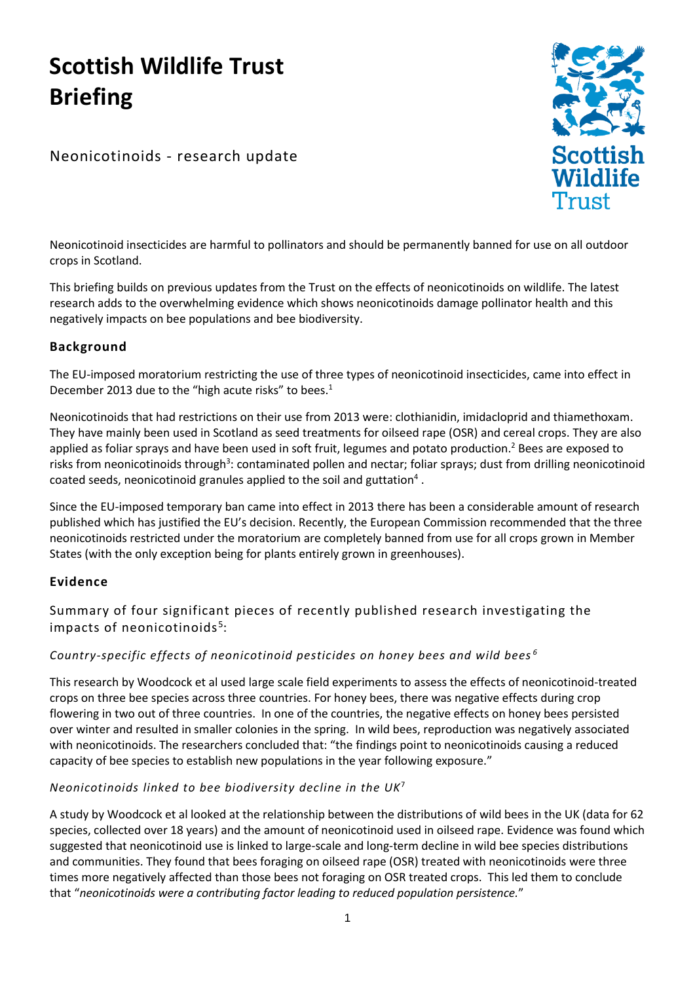# **Scottish Wildlife Trust Briefing**

Neonicotinoids - research update



Neonicotinoid insecticides are harmful to pollinators and should be permanently banned for use on all outdoor crops in Scotland.

This briefing builds on previous updates from the Trust on the effects of neonicotinoids on wildlife. The latest research adds to the overwhelming evidence which shows neonicotinoids damage pollinator health and this negatively impacts on bee populations and bee biodiversity.

# **Background**

The EU-imposed moratorium restricting the use of three types of neonicotinoid insecticides, came into effect in December 2013 due to the "high acute risks" to bees. $1$ 

Neonicotinoids that had restrictions on their use from 2013 were: clothianidin, imidacloprid and thiamethoxam. They have mainly been used in Scotland as seed treatments for oilseed rape (OSR) and cereal crops. They are also applied as foliar sprays and have been used in soft fruit, legumes and potato production.<sup>2</sup> Bees are exposed to risks from neonicotinoids through<sup>3</sup>: contaminated pollen and nectar; foliar sprays; dust from drilling neonicotinoid coated seeds, neonicotinoid granules applied to the soil and guttation<sup>4</sup>.

Since the EU-imposed temporary ban came into effect in 2013 there has been a considerable amount of research published which has justified the EU's decision. Recently, the European Commission recommended that the three neonicotinoids restricted under the moratorium are completely banned from use for all crops grown in Member States (with the only exception being for plants entirely grown in greenhouses).

# **Evidence**

Summary of four significant pieces of recently published research investigating the impacts of neonicotinoids<sup>5</sup>:

# *Country-specific effects of neonicotinoid pesticides on honey bees and wild bees <sup>6</sup>*

This research by Woodcock et al used large scale field experiments to assess the effects of neonicotinoid-treated crops on three bee species across three countries. For honey bees, there was negative effects during crop flowering in two out of three countries. In one of the countries, the negative effects on honey bees persisted over winter and resulted in smaller colonies in the spring. In wild bees, reproduction was negatively associated with neonicotinoids. The researchers concluded that: "the findings point to neonicotinoids causing a reduced capacity of bee species to establish new populations in the year following exposure."

# *Neonicotinoids linked to bee biodiversity decline in the UK*<sup>7</sup>

A study by Woodcock et al looked at the relationship between the distributions of wild bees in the UK (data for 62 species, collected over 18 years) and the amount of neonicotinoid used in oilseed rape. Evidence was found which suggested that neonicotinoid use is linked to large-scale and long-term decline in wild bee species distributions and communities. They found that bees foraging on oilseed rape (OSR) treated with neonicotinoids were three times more negatively affected than those bees not foraging on OSR treated crops. This led them to conclude that "*neonicotinoids were a contributing factor leading to reduced population persistence.*"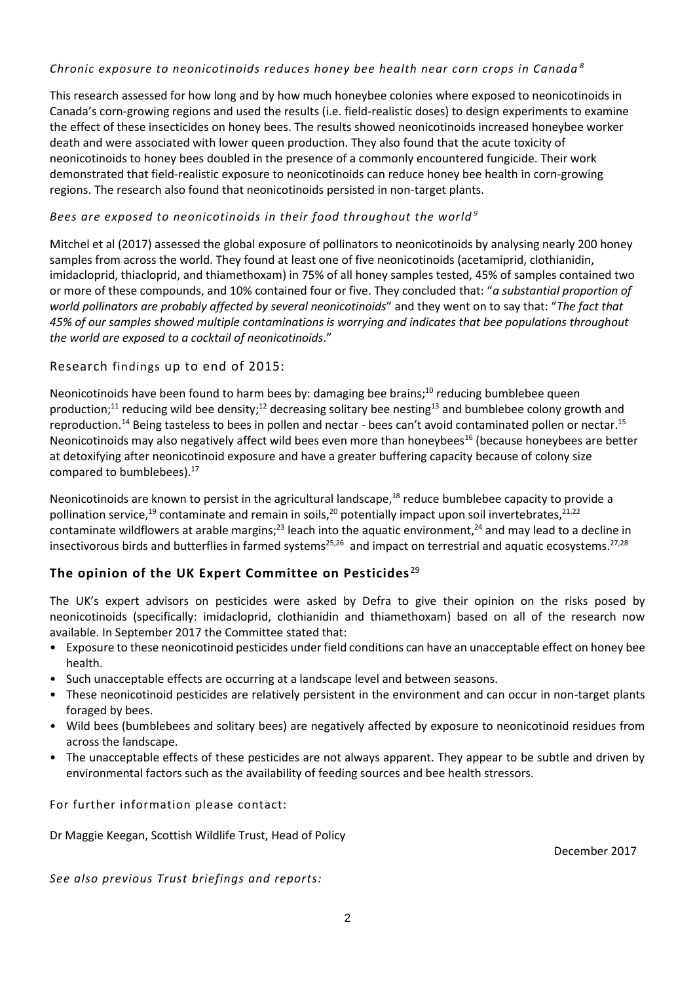#### *Chronic exposure to neonicotinoids reduces honey bee health near corn crops in Canada <sup>8</sup>*

This research assessed for how long and by how much honeybee colonies where exposed to neonicotinoids in Canada's corn-growing regions and used the results (i.e. field-realistic doses) to design experiments to examine the effect of these insecticides on honey bees. The results showed neonicotinoids increased honeybee worker death and were associated with lower queen production. They also found that the acute toxicity of neonicotinoids to honey bees doubled in the presence of a commonly encountered fungicide. Their work demonstrated that field-realistic exposure to neonicotinoids can reduce honey bee health in corn-growing regions. The research also found that neonicotinoids persisted in non-target plants.

#### *Bees are exposed to neonicotinoids in their food throughout the world*<sup>9</sup>

Mitchel et al (2017) assessed the global exposure of pollinators to neonicotinoids by analysing nearly 200 honey samples from across the world. They found at least one of five neonicotinoids (acetamiprid, clothianidin, imidacloprid, thiacloprid, and thiamethoxam) in 75% of all honey samples tested, 45% of samples contained two or more of these compounds, and 10% contained four or five. They concluded that: "*a substantial proportion of world pollinators are probably affected by several neonicotinoids*" and they went on to say that: "*The fact that 45% of our samples showed multiple contaminations is worrying and indicates that bee populations throughout the world are exposed to a cocktail of neonicotinoids*."

#### Research findings up to end of 2015:

Neonicotinoids have been found to harm bees by: damaging bee brains;<sup>10</sup> reducing bumblebee queen production;<sup>11</sup> reducing wild bee density;<sup>12</sup> decreasing solitary bee nesting<sup>13</sup> and bumblebee colony growth and reproduction.<sup>14</sup> Being tasteless to bees in pollen and nectar - bees can't avoid contaminated pollen or nectar.<sup>15</sup> Neonicotinoids may also negatively affect wild bees even more than honeybees<sup>16</sup> (because honeybees are better at detoxifying after neonicotinoid exposure and have a greater buffering capacity because of colony size compared to bumblebees). 17

Neonicotinoids are known to persist in the agricultural landscape,<sup>18</sup> reduce bumblebee capacity to provide a pollination service,<sup>19</sup> contaminate and remain in soils,<sup>20</sup> potentially impact upon soil invertebrates,<sup>21,22</sup> contaminate wildflowers at arable margins;<sup>23</sup> leach into the aquatic environment,<sup>24</sup> and may lead to a decline in insectivorous birds and butterflies in farmed systems<sup>25,26</sup> and impact on terrestrial and aquatic ecosystems.<sup>27,28</sup>

# **The opinion of the UK Expert Committee on Pesticides**<sup>29</sup>

The UK's expert advisors on pesticides were asked by Defra to give their opinion on the risks posed by neonicotinoids (specifically: imidacloprid, clothianidin and thiamethoxam) based on all of the research now available. In September 2017 the Committee stated that:

- Exposure to these neonicotinoid pesticides under field conditions can have an unacceptable effect on honey bee health.
- Such unacceptable effects are occurring at a landscape level and between seasons.
- These neonicotinoid pesticides are relatively persistent in the environment and can occur in non-target plants foraged by bees.
- Wild bees (bumblebees and solitary bees) are negatively affected by exposure to neonicotinoid residues from across the landscape.
- The unacceptable effects of these pesticides are not always apparent. They appear to be subtle and driven by environmental factors such as the availability of feeding sources and bee health stressors.

For further information please contact:

Dr Maggie Keegan, Scottish Wildlife Trust, Head of Policy

December 2017

*See also previous Trust briefings and reports:*